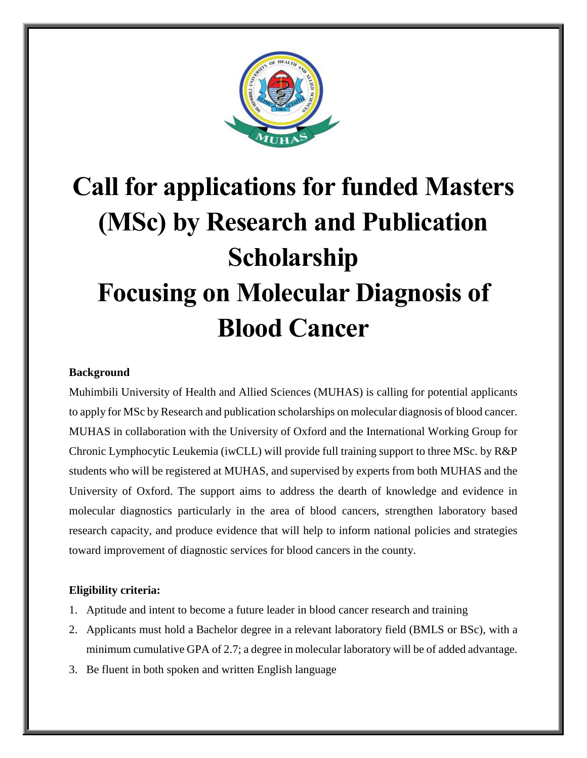

# **Call for applications for funded Masters (MSc) by Research and Publication Scholarship Focusing on Molecular Diagnosis of Blood Cancer**

# **Background**

Muhimbili University of Health and Allied Sciences (MUHAS) is calling for potential applicants to apply for MSc by Research and publication scholarships on molecular diagnosis of blood cancer. MUHAS in collaboration with the University of Oxford and the International Working Group for Chronic Lymphocytic Leukemia (iwCLL) will provide full training support to three MSc. by R&P students who will be registered at MUHAS, and supervised by experts from both MUHAS and the University of Oxford. The support aims to address the dearth of knowledge and evidence in molecular diagnostics particularly in the area of blood cancers, strengthen laboratory based research capacity, and produce evidence that will help to inform national policies and strategies toward improvement of diagnostic services for blood cancers in the county.

# **Eligibility criteria:**

- 1. Aptitude and intent to become a future leader in blood cancer research and training
- 2. Applicants must hold a Bachelor degree in a relevant laboratory field (BMLS or BSc), with a minimum cumulative GPA of 2.7; a degree in molecular laboratory will be of added advantage.
- 3. Be fluent in both spoken and written English language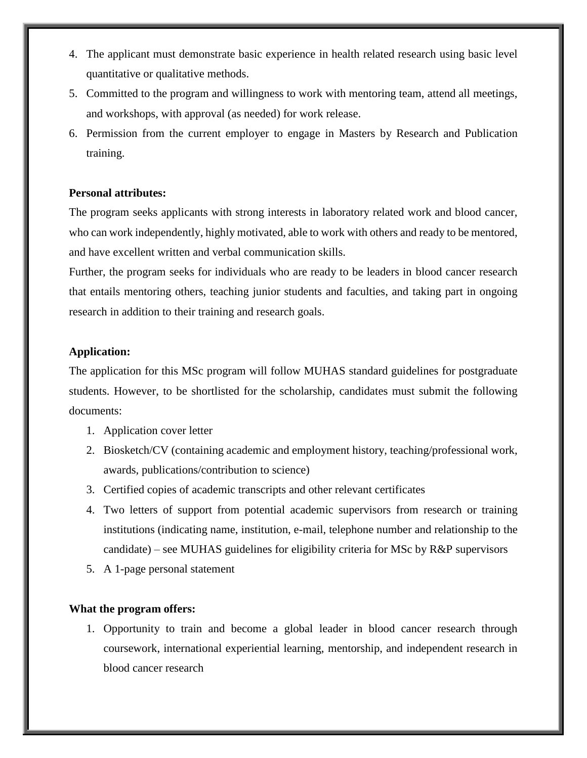- 4. The applicant must demonstrate basic experience in health related research using basic level quantitative or qualitative methods.
- 5. Committed to the program and willingness to work with mentoring team, attend all meetings, and workshops, with approval (as needed) for work release.
- 6. Permission from the current employer to engage in Masters by Research and Publication training.

## **Personal attributes:**

The program seeks applicants with strong interests in laboratory related work and blood cancer, who can work independently, highly motivated, able to work with others and ready to be mentored, and have excellent written and verbal communication skills.

Further, the program seeks for individuals who are ready to be leaders in blood cancer research that entails mentoring others, teaching junior students and faculties, and taking part in ongoing research in addition to their training and research goals.

## **Application:**

The application for this MSc program will follow MUHAS standard guidelines for postgraduate students. However, to be shortlisted for the scholarship, candidates must submit the following documents:

- 1. Application cover letter
- 2. Biosketch/CV (containing academic and employment history, teaching/professional work, awards, publications/contribution to science)
- 3. Certified copies of academic transcripts and other relevant certificates
- 4. Two letters of support from potential academic supervisors from research or training institutions (indicating name, institution, e-mail, telephone number and relationship to the candidate) – see MUHAS guidelines for eligibility criteria for MSc by  $R\&P$  supervisors
- 5. A 1-page personal statement

#### **What the program offers:**

1. Opportunity to train and become a global leader in blood cancer research through coursework, international experiential learning, mentorship, and independent research in blood cancer research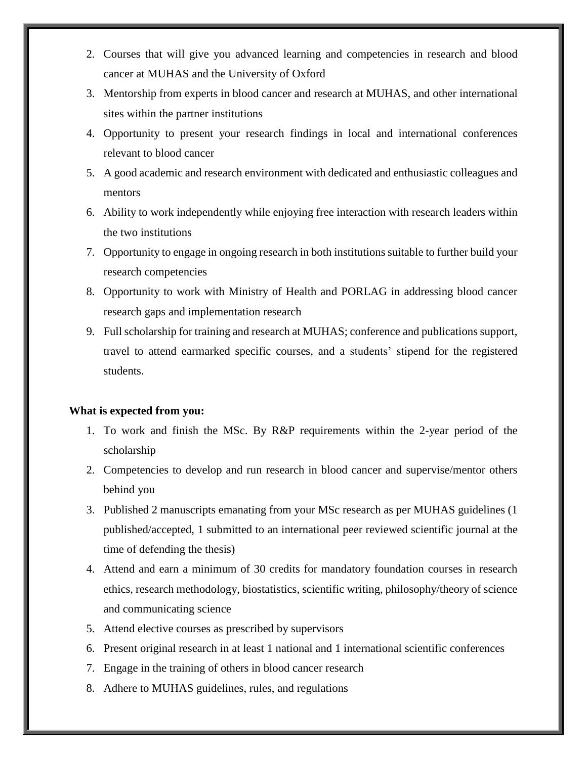- 2. Courses that will give you advanced learning and competencies in research and blood cancer at MUHAS and the University of Oxford
- 3. Mentorship from experts in blood cancer and research at MUHAS, and other international sites within the partner institutions
- 4. Opportunity to present your research findings in local and international conferences relevant to blood cancer
- 5. A good academic and research environment with dedicated and enthusiastic colleagues and mentors
- 6. Ability to work independently while enjoying free interaction with research leaders within the two institutions
- 7. Opportunity to engage in ongoing research in both institutions suitable to further build your research competencies
- 8. Opportunity to work with Ministry of Health and PORLAG in addressing blood cancer research gaps and implementation research
- 9. Full scholarship for training and research at MUHAS; conference and publications support, travel to attend earmarked specific courses, and a students' stipend for the registered students.

# **What is expected from you:**

- 1. To work and finish the MSc. By R&P requirements within the 2-year period of the scholarship
- 2. Competencies to develop and run research in blood cancer and supervise/mentor others behind you
- 3. Published 2 manuscripts emanating from your MSc research as per MUHAS guidelines (1 published/accepted, 1 submitted to an international peer reviewed scientific journal at the time of defending the thesis)
- 4. Attend and earn a minimum of 30 credits for mandatory foundation courses in research ethics, research methodology, biostatistics, scientific writing, philosophy/theory of science and communicating science
- 5. Attend elective courses as prescribed by supervisors
- 6. Present original research in at least 1 national and 1 international scientific conferences
- 7. Engage in the training of others in blood cancer research
- 8. Adhere to MUHAS guidelines, rules, and regulations